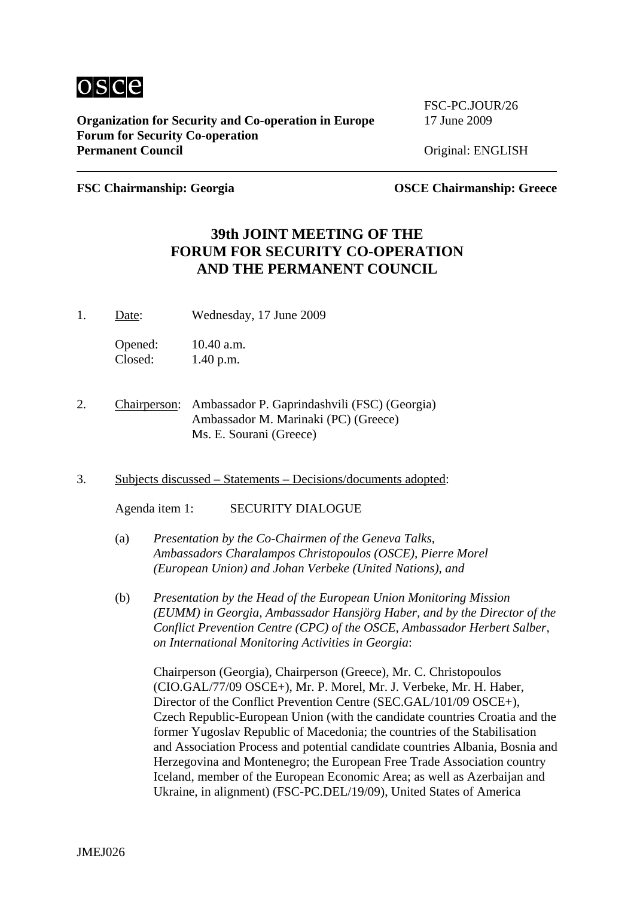

**Organization for Security and Co-operation in Europe** 17 June 2009 **Forum for Security Co-operation**  Permanent Council **Council Council Council Original: ENGLISH** 

FSC-PC.JOUR/26

**FSC Chairmanship: Georgia OSCE Chairmanship: Greece**

# **39th JOINT MEETING OF THE FORUM FOR SECURITY CO-OPERATION AND THE PERMANENT COUNCIL**

1. Date: Wednesday, 17 June 2009

Opened: 10.40 a.m. Closed: 1.40 p.m.

- 2. Chairperson: Ambassador P. Gaprindashvili (FSC) (Georgia) Ambassador M. Marinaki (PC) (Greece) Ms. E. Sourani (Greece)
- 3. Subjects discussed Statements Decisions/documents adopted:

Agenda item 1: SECURITY DIALOGUE

- (a) *Presentation by the Co-Chairmen of the Geneva Talks, Ambassadors Charalampos Christopoulos (OSCE), Pierre Morel (European Union) and Johan Verbeke (United Nations), and*
- (b) *Presentation by the Head of the European Union Monitoring Mission (EUMM) in Georgia, Ambassador Hansjörg Haber, and by the Director of the Conflict Prevention Centre (CPC) of the OSCE, Ambassador Herbert Salber, on International Monitoring Activities in Georgia*:

Chairperson (Georgia), Chairperson (Greece), Mr. C. Christopoulos (CIO.GAL/77/09 OSCE+), Mr. P. Morel, Mr. J. Verbeke, Mr. H. Haber, Director of the Conflict Prevention Centre (SEC.GAL/101/09 OSCE+), Czech Republic-European Union (with the candidate countries Croatia and the former Yugoslav Republic of Macedonia; the countries of the Stabilisation and Association Process and potential candidate countries Albania, Bosnia and Herzegovina and Montenegro; the European Free Trade Association country Iceland, member of the European Economic Area; as well as Azerbaijan and Ukraine, in alignment) (FSC-PC.DEL/19/09), United States of America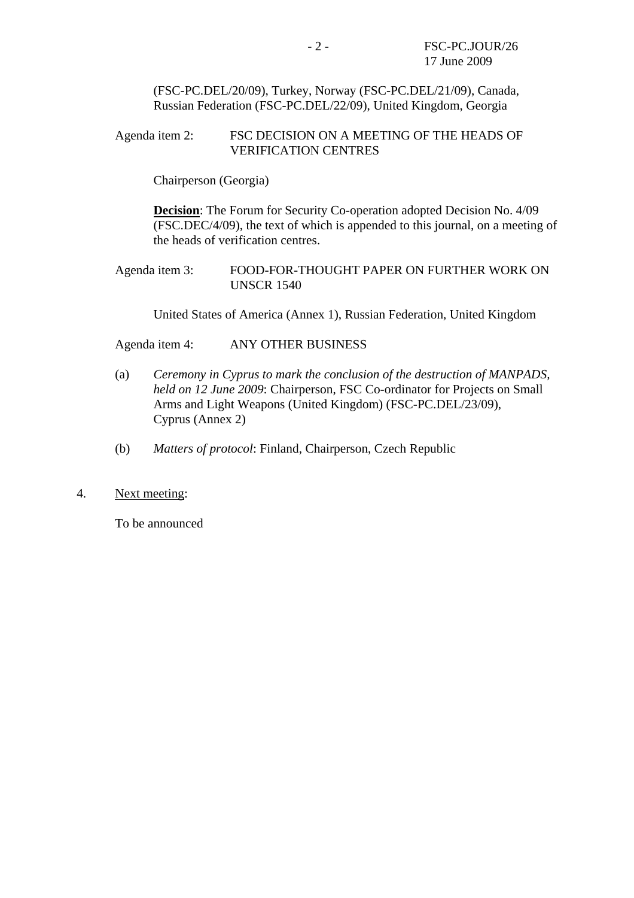(FSC-PC.DEL/20/09), Turkey, Norway (FSC-PC.DEL/21/09), Canada, Russian Federation (FSC-PC.DEL/22/09), United Kingdom, Georgia

#### Agenda item 2: FSC DECISION ON A MEETING OF THE HEADS OF VERIFICATION CENTRES

Chairperson (Georgia)

**Decision**: The Forum for Security Co-operation adopted Decision No. 4/09 (FSC.DEC/4/09), the text of which is appended to this journal, on a meeting of the heads of verification centres.

Agenda item 3: FOOD-FOR-THOUGHT PAPER ON FURTHER WORK ON UNSCR 1540

United States of America (Annex 1), Russian Federation, United Kingdom

Agenda item 4: ANY OTHER BUSINESS

- (a) *Ceremony in Cyprus to mark the conclusion of the destruction of MANPADS, held on 12 June 2009*: Chairperson, FSC Co-ordinator for Projects on Small Arms and Light Weapons (United Kingdom) (FSC-PC.DEL/23/09), Cyprus (Annex 2)
- (b) *Matters of protocol*: Finland, Chairperson, Czech Republic
- 4. Next meeting:

To be announced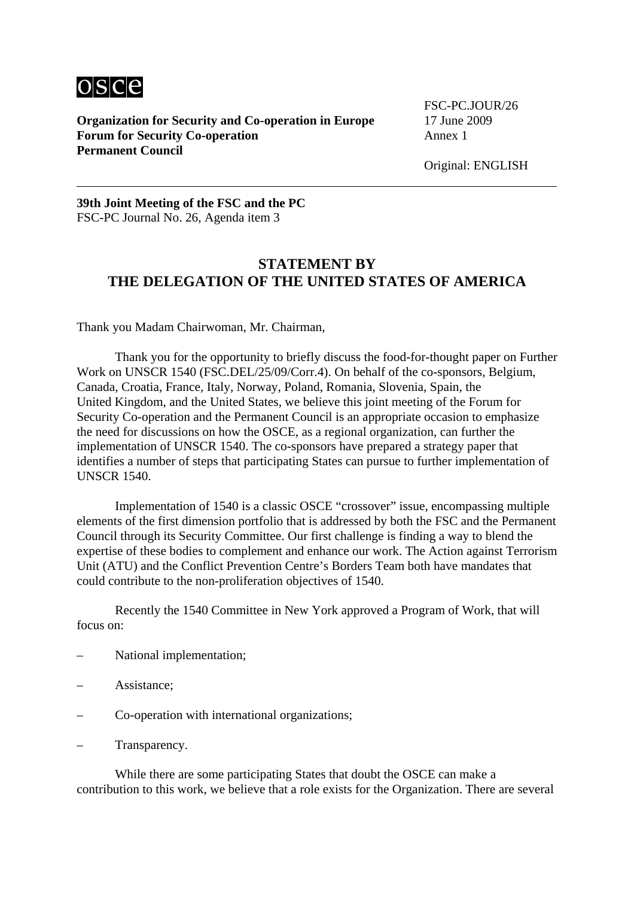

**Organization for Security and Co-operation in Europe** 17 June 2009 **Forum for Security Co-operation Annex 1 Permanent Council**

FSC-PC.JOUR/26

Original: ENGLISH

**39th Joint Meeting of the FSC and the PC**  FSC-PC Journal No. 26, Agenda item 3

## **STATEMENT BY THE DELEGATION OF THE UNITED STATES OF AMERICA**

Thank you Madam Chairwoman, Mr. Chairman,

 Thank you for the opportunity to briefly discuss the food-for-thought paper on Further Work on UNSCR 1540 (FSC.DEL/25/09/Corr.4). On behalf of the co-sponsors, Belgium, Canada, Croatia, France, Italy, Norway, Poland, Romania, Slovenia, Spain, the United Kingdom, and the United States, we believe this joint meeting of the Forum for Security Co-operation and the Permanent Council is an appropriate occasion to emphasize the need for discussions on how the OSCE, as a regional organization, can further the implementation of UNSCR 1540. The co-sponsors have prepared a strategy paper that identifies a number of steps that participating States can pursue to further implementation of UNSCR 1540.

 Implementation of 1540 is a classic OSCE "crossover" issue, encompassing multiple elements of the first dimension portfolio that is addressed by both the FSC and the Permanent Council through its Security Committee. Our first challenge is finding a way to blend the expertise of these bodies to complement and enhance our work. The Action against Terrorism Unit (ATU) and the Conflict Prevention Centre's Borders Team both have mandates that could contribute to the non-proliferation objectives of 1540.

 Recently the 1540 Committee in New York approved a Program of Work, that will focus on:

- National implementation;
- Assistance;
- Co-operation with international organizations;
- Transparency.

 While there are some participating States that doubt the OSCE can make a contribution to this work, we believe that a role exists for the Organization. There are several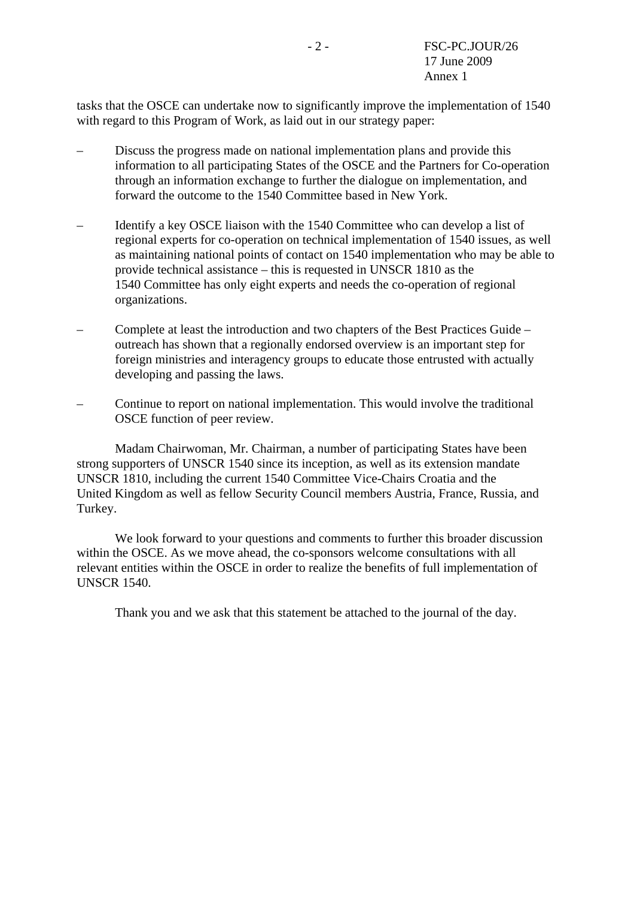tasks that the OSCE can undertake now to significantly improve the implementation of 1540 with regard to this Program of Work, as laid out in our strategy paper:

- Discuss the progress made on national implementation plans and provide this information to all participating States of the OSCE and the Partners for Co-operation through an information exchange to further the dialogue on implementation, and forward the outcome to the 1540 Committee based in New York.
- Identify a key OSCE liaison with the 1540 Committee who can develop a list of regional experts for co-operation on technical implementation of 1540 issues, as well as maintaining national points of contact on 1540 implementation who may be able to provide technical assistance – this is requested in UNSCR 1810 as the 1540 Committee has only eight experts and needs the co-operation of regional organizations.
- Complete at least the introduction and two chapters of the Best Practices Guide outreach has shown that a regionally endorsed overview is an important step for foreign ministries and interagency groups to educate those entrusted with actually developing and passing the laws.
- Continue to report on national implementation. This would involve the traditional OSCE function of peer review.

 Madam Chairwoman, Mr. Chairman, a number of participating States have been strong supporters of UNSCR 1540 since its inception, as well as its extension mandate UNSCR 1810, including the current 1540 Committee Vice-Chairs Croatia and the United Kingdom as well as fellow Security Council members Austria, France, Russia, and Turkey.

 We look forward to your questions and comments to further this broader discussion within the OSCE. As we move ahead, the co-sponsors welcome consultations with all relevant entities within the OSCE in order to realize the benefits of full implementation of UNSCR 1540.

Thank you and we ask that this statement be attached to the journal of the day.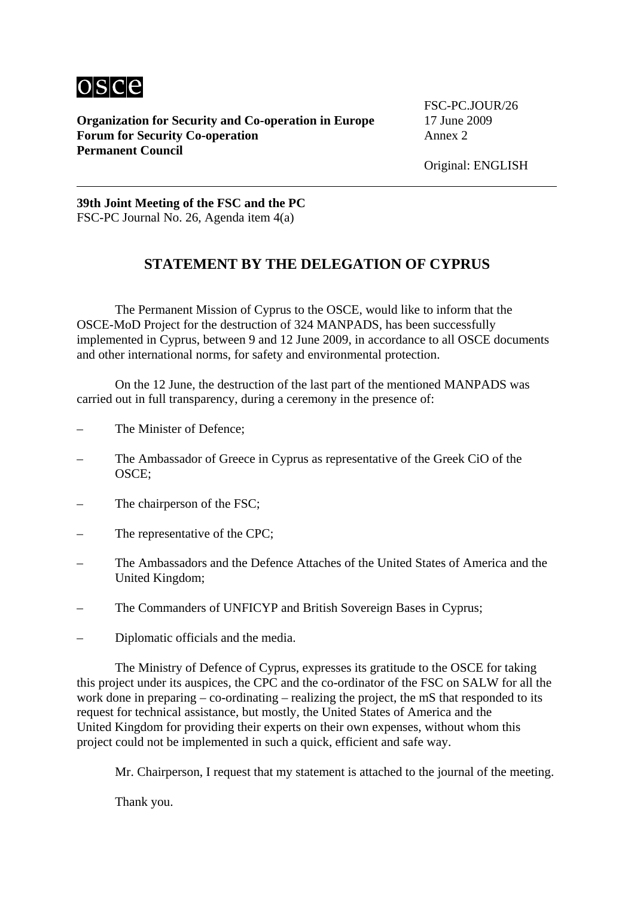

**Organization for Security and Co-operation in Europe** 17 June 2009 **Forum for Security Co-operation Annex 2 Permanent Council**

FSC-PC.JOUR/26

Original: ENGLISH

**39th Joint Meeting of the FSC and the PC**  FSC-PC Journal No. 26, Agenda item 4(a)

# **STATEMENT BY THE DELEGATION OF CYPRUS**

 The Permanent Mission of Cyprus to the OSCE, would like to inform that the OSCE-MoD Project for the destruction of 324 MANPADS, has been successfully implemented in Cyprus, between 9 and 12 June 2009, in accordance to all OSCE documents and other international norms, for safety and environmental protection.

 On the 12 June, the destruction of the last part of the mentioned MANPADS was carried out in full transparency, during a ceremony in the presence of:

- The Minister of Defence:
- The Ambassador of Greece in Cyprus as representative of the Greek CiO of the OSCE;
- The chairperson of the FSC;
- The representative of the CPC:
- The Ambassadors and the Defence Attaches of the United States of America and the United Kingdom;
- The Commanders of UNFICYP and British Sovereign Bases in Cyprus;
- Diplomatic officials and the media.

 The Ministry of Defence of Cyprus, expresses its gratitude to the OSCE for taking this project under its auspices, the CPC and the co-ordinator of the FSC on SALW for all the work done in preparing – co-ordinating – realizing the project, the mS that responded to its request for technical assistance, but mostly, the United States of America and the United Kingdom for providing their experts on their own expenses, without whom this project could not be implemented in such a quick, efficient and safe way.

Mr. Chairperson, I request that my statement is attached to the journal of the meeting.

Thank you.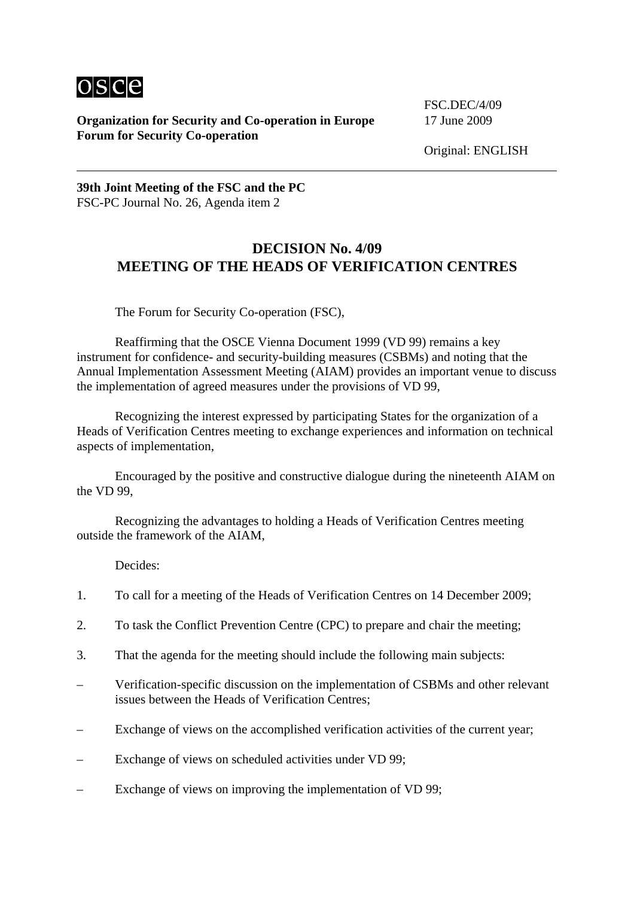

**Organization for Security and Co-operation in Europe** 17 June 2009 **Forum for Security Co-operation** 

FSC.DEC/4/09

Original: ENGLISH

**39th Joint Meeting of the FSC and the PC**  FSC-PC Journal No. 26, Agenda item 2

#### **DECISION No. 4/09 MEETING OF THE HEADS OF VERIFICATION CENTRES**

The Forum for Security Co-operation (FSC),

 Reaffirming that the OSCE Vienna Document 1999 (VD 99) remains a key instrument for confidence- and security-building measures (CSBMs) and noting that the Annual Implementation Assessment Meeting (AIAM) provides an important venue to discuss the implementation of agreed measures under the provisions of VD 99,

 Recognizing the interest expressed by participating States for the organization of a Heads of Verification Centres meeting to exchange experiences and information on technical aspects of implementation,

 Encouraged by the positive and constructive dialogue during the nineteenth AIAM on the VD 99,

 Recognizing the advantages to holding a Heads of Verification Centres meeting outside the framework of the AIAM,

Decides:

- 1. To call for a meeting of the Heads of Verification Centres on 14 December 2009;
- 2. To task the Conflict Prevention Centre (CPC) to prepare and chair the meeting;
- 3. That the agenda for the meeting should include the following main subjects:
- Verification-specific discussion on the implementation of CSBMs and other relevant issues between the Heads of Verification Centres;
- Exchange of views on the accomplished verification activities of the current year;
- Exchange of views on scheduled activities under VD 99;
- Exchange of views on improving the implementation of VD 99;